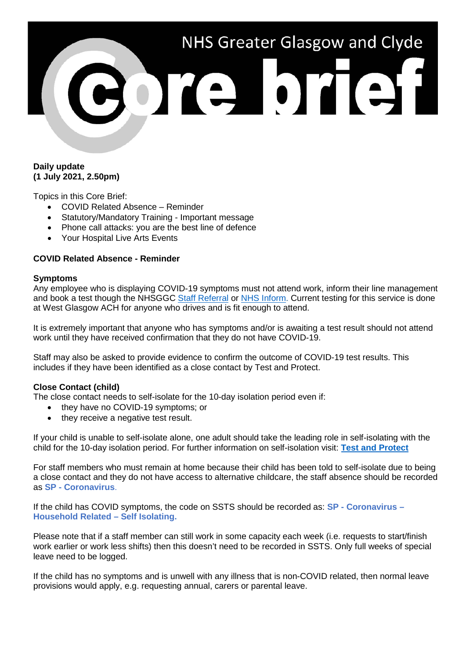# NHS Greater Glasgow and Clyde ore brief

### **Daily update (1 July 2021, 2.50pm)**

Topics in this Core Brief:

- COVID Related Absence Reminder
- Statutory/Mandatory Training Important message
- Phone call attacks: you are the best line of defence
- Your Hospital Live Arts Events

# **COVID Related Absence - Reminder**

### **Symptoms**

Any employee who is displaying COVID-19 symptoms must not attend work, inform their line management and book a test though the NHSGGC [Staff Referral](https://forms.office.com/Pages/ResponsePage.aspx?id=veDvEDCgykuAnLXmdF5JmgW9YoY5w-BDlHK7ghonYUBURTJBTFE0UEFBN0I2ODU3S0lFNTJJUjYzTiQlQCN0PWcu) or [NHS Inform.](https://www.nhsinform.scot/illnesses-and-conditions/infections-and-poisoning/coronavirus-covid-19/test-and-protect/coronavirus-covid-19-get-a-test-if-you-do-not-have-symptoms) Current testing for this service is done at West Glasgow ACH for anyone who drives and is fit enough to attend.

It is extremely important that anyone who has symptoms and/or is awaiting a test result should not attend work until they have received confirmation that they do not have COVID-19.

Staff may also be asked to provide evidence to confirm the outcome of COVID-19 test results. This includes if they have been identified as a close contact by Test and Protect.

### **Close Contact (child)**

The close contact needs to self-isolate for the 10-day isolation period even if:

- they have no COVID-19 symptoms; or
- they receive a negative test result.

If your child is unable to self-isolate alone, one adult should take the leading role in self-isolating with the child for the 10-day isolation period. For further information on self-isolation visit: **[Test and Protect](https://www.gov.scot/publications/coronavirus-covid-19-test-and-protect/pages/how-to-self-isolate-effectively/)**

For staff members who must remain at home because their child has been told to self-isolate due to being a close contact and they do not have access to alternative childcare, the staff absence should be recorded as **SP - Coronavirus**.

If the child has COVID symptoms, the code on SSTS should be recorded as: **SP - Coronavirus – Household Related – Self Isolating.**

Please note that if a staff member can still work in some capacity each week (i.e. requests to start/finish work earlier or work less shifts) then this doesn't need to be recorded in SSTS. Only full weeks of special leave need to be logged.

If the child has no symptoms and is unwell with any illness that is non-COVID related, then normal leave provisions would apply, e.g. requesting annual, carers or parental leave.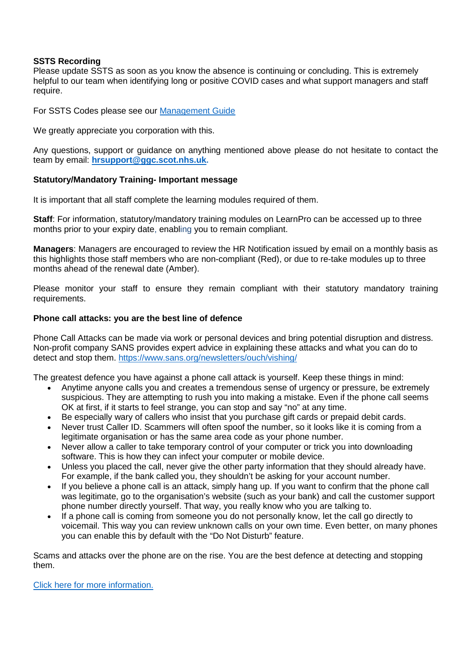## **SSTS Recording**

Please update SSTS as soon as you know the absence is continuing or concluding. This is extremely helpful to our team when identifying long or positive COVID cases and what support managers and staff require.

For SSTS Codes please see our [Management Guide](https://www.nhsggc.org.uk/media/264670/management-quick-guide.pdf)

We greatly appreciate you corporation with this.

Any questions, support or guidance on anything mentioned above please do not hesitate to contact the team by email: **[hrsupport@ggc.scot.nhs.uk.](mailto:hrsupport@ggc.scot.nhs.uk)**

# **Statutory/Mandatory Training- Important message**

It is important that all staff complete the learning modules required of them.

**Staff**: For information, statutory/mandatory training modules on LearnPro can be accessed up to three months prior to your expiry date, enabling you to remain compliant.

**Managers**: Managers are encouraged to review the HR Notification issued by email on a monthly basis as this highlights those staff members who are non-compliant (Red), or due to re-take modules up to three months ahead of the renewal date (Amber).

Please monitor your staff to ensure they remain compliant with their statutory mandatory training requirements.

# **Phone call attacks: you are the best line of defence**

Phone Call Attacks can be made via work or personal devices and bring potential disruption and distress. Non-profit company SANS provides expert advice in explaining these attacks and what you can do to detect and stop them.<https://www.sans.org/newsletters/ouch/vishing/>

The greatest defence you have against a phone call attack is yourself. Keep these things in mind:

- Anytime anyone calls you and creates a tremendous sense of urgency or pressure, be extremely suspicious. They are attempting to rush you into making a mistake. Even if the phone call seems OK at first, if it starts to feel strange, you can stop and say "no" at any time.
- Be especially wary of callers who insist that you purchase gift cards or prepaid debit cards.
- Never trust Caller ID. Scammers will often spoof the number, so it looks like it is coming from a legitimate organisation or has the same area code as your phone number.
- Never allow a caller to take temporary control of your computer or trick you into downloading software. This is how they can infect your computer or mobile device.
- Unless you placed the call, never give the other party information that they should already have. For example, if the bank called you, they shouldn't be asking for your account number.
- If you believe a phone call is an attack, simply hang up. If you want to confirm that the phone call was legitimate, go to the organisation's website (such as your bank) and call the customer support phone number directly yourself. That way, you really know who you are talking to.
- If a phone call is coming from someone you do not personally know, let the call go directly to voicemail. This way you can review unknown calls on your own time. Even better, on many phones you can enable this by default with the "Do Not Disturb" feature.

Scams and attacks over the phone are on the rise. You are the best defence at detecting and stopping them.

[Click here for more information.](http://www.staffnet.ggc.scot.nhs.uk/Corporate%20Services/Communications/Hot%20Topics/Documents/PHONE%20CALL%20ATTACKS%20Best%20Line%20of%20Defence%20(June%2021).pdf)